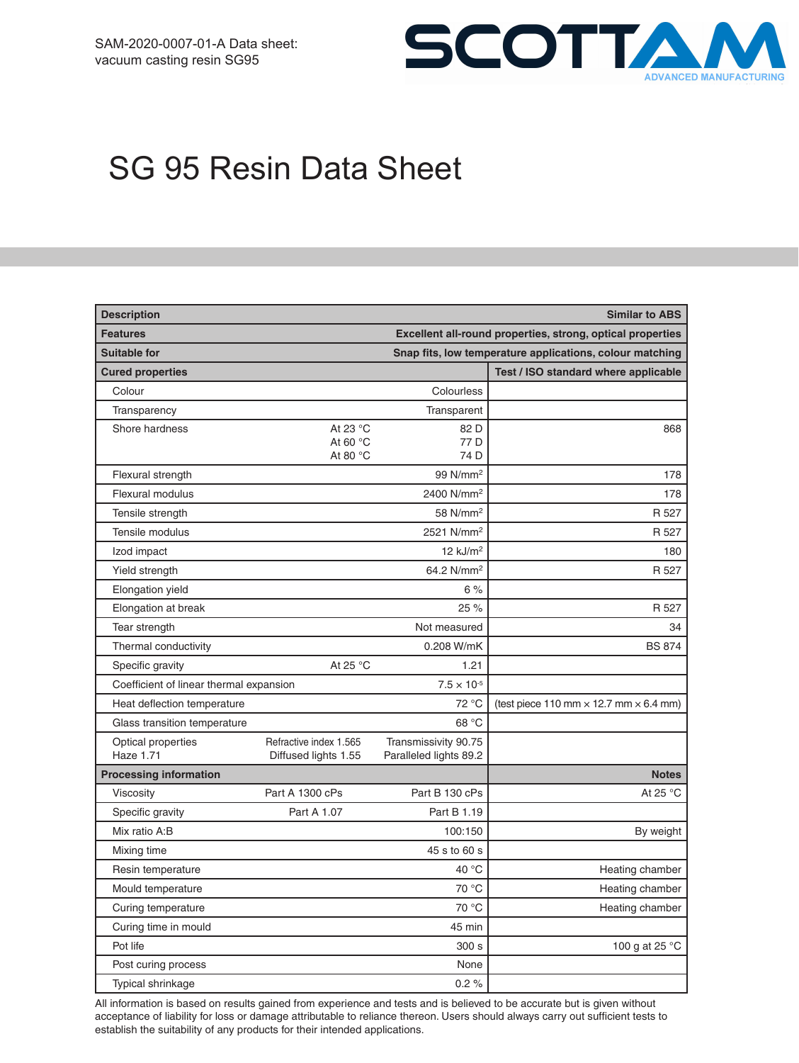

# SG 95 Resin Data Sheet

| <b>Description</b>                      |                                                          |                                                            | <b>Similar to ABS</b>                                |
|-----------------------------------------|----------------------------------------------------------|------------------------------------------------------------|------------------------------------------------------|
| <b>Features</b>                         |                                                          | Excellent all-round properties, strong, optical properties |                                                      |
| <b>Suitable for</b>                     | Snap fits, low temperature applications, colour matching |                                                            |                                                      |
| <b>Cured properties</b>                 |                                                          |                                                            | Test / ISO standard where applicable                 |
| Colour                                  |                                                          | Colourless                                                 |                                                      |
| Transparency                            |                                                          | Transparent                                                |                                                      |
| Shore hardness                          | At 23 °C<br>At 60 $\degree$ C<br>At 80 °C                | 82 D<br>77 D<br>74 D                                       | 868                                                  |
| Flexural strength                       |                                                          | 99 N/mm <sup>2</sup>                                       | 178                                                  |
| Flexural modulus                        |                                                          | 2400 N/mm <sup>2</sup>                                     | 178                                                  |
| Tensile strength                        |                                                          | 58 N/mm <sup>2</sup>                                       | R 527                                                |
| Tensile modulus                         |                                                          | 2521 N/mm <sup>2</sup>                                     | R 527                                                |
| Izod impact                             |                                                          | $12$ kJ/m <sup>2</sup>                                     | 180                                                  |
| Yield strength                          |                                                          | 64.2 N/mm <sup>2</sup>                                     | R 527                                                |
| Elongation yield                        |                                                          | 6%                                                         |                                                      |
| Elongation at break                     |                                                          | 25 %                                                       | R 527                                                |
| Tear strength                           |                                                          | Not measured                                               | 34                                                   |
| Thermal conductivity                    |                                                          | 0.208 W/mK                                                 | <b>BS 874</b>                                        |
| Specific gravity                        | At 25 °C                                                 | 1.21                                                       |                                                      |
| Coefficient of linear thermal expansion |                                                          | $7.5 \times 10^{-5}$                                       |                                                      |
| Heat deflection temperature             |                                                          | 72 °C                                                      | (test piece 110 mm $\times$ 12.7 mm $\times$ 6.4 mm) |
| Glass transition temperature            |                                                          | 68 °C                                                      |                                                      |
| Optical properties<br><b>Haze 1.71</b>  | Refractive index 1.565<br>Diffused lights 1.55           | Transmissivity 90.75<br>Paralleled lights 89.2             |                                                      |
| <b>Processing information</b>           |                                                          |                                                            | <b>Notes</b>                                         |
| Viscosity                               | Part A 1300 cPs                                          | Part B 130 cPs                                             | At 25 °C                                             |
| Specific gravity                        | Part A 1.07                                              | Part B 1.19                                                |                                                      |
| Mix ratio A:B                           |                                                          | 100:150                                                    | By weight                                            |
| Mixing time                             |                                                          | 45 s to 60 s                                               |                                                      |
| Resin temperature                       |                                                          | 40 °C                                                      | Heating chamber                                      |
| Mould temperature                       |                                                          | 70 °C                                                      | Heating chamber                                      |
| Curing temperature                      |                                                          | 70 °C                                                      | Heating chamber                                      |
| Curing time in mould                    |                                                          | 45 min                                                     |                                                      |
| Pot life                                |                                                          | 300 s                                                      | 100 g at 25 °C                                       |
| Post curing process                     |                                                          | None                                                       |                                                      |
| Typical shrinkage                       |                                                          | 0.2%                                                       |                                                      |

All information is based on results gained from experience and tests and is believed to be accurate but is given without acceptance of liability for loss or damage attributable to reliance thereon. Users should always carry out sufficient tests to establish the suitability of any products for their intended applications.